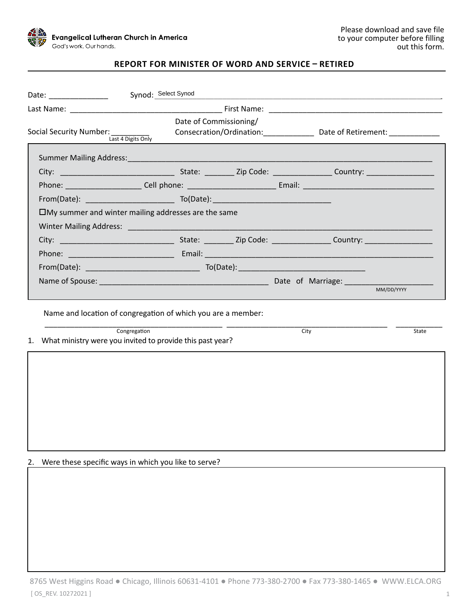

## **REPORT FOR MINISTER OF WORD AND SERVICE – RETIRED**

| Date: _______________                                                                                                                                                                                                          | Synod: Select Synod                                                                                                |      |            |
|--------------------------------------------------------------------------------------------------------------------------------------------------------------------------------------------------------------------------------|--------------------------------------------------------------------------------------------------------------------|------|------------|
| Last Name: Name: Name: Name: Name: Name: Name: Name: Name: Name: Name: Name: Name: Name: Name: Name: Name: Name: Name: Name: Name: Name: Name: Name: Name: Name: Name: Name: Name: Name: Name: Name: Name: Name: Name: Name: N |                                                                                                                    |      |            |
| Social Security Number:<br>Last 4 Digits Only                                                                                                                                                                                  | Date of Commissioning/                                                                                             |      |            |
|                                                                                                                                                                                                                                | Summer Mailing Address: Management of the Address of Table 1, 1999, 1999                                           |      |            |
|                                                                                                                                                                                                                                |                                                                                                                    |      |            |
|                                                                                                                                                                                                                                |                                                                                                                    |      |            |
|                                                                                                                                                                                                                                | From(Date): To(Date): To(Date):                                                                                    |      |            |
|                                                                                                                                                                                                                                | $\square$ My summer and winter mailing addresses are the same<br>Winter Mailing Address: Lawrence Mailing Address: |      |            |
|                                                                                                                                                                                                                                |                                                                                                                    |      |            |
|                                                                                                                                                                                                                                |                                                                                                                    |      |            |
|                                                                                                                                                                                                                                |                                                                                                                    |      |            |
|                                                                                                                                                                                                                                | Name of Spouse: Name of Spouse: Name of Spouse: Name of Spouse: Name of Spouse: Name of Spouse: Name of Spouse:    |      | MM/DD/YYYY |
| 1. What ministry were you invited to provide this past year?                                                                                                                                                                   | Name and location of congregation of which you are a member:<br>Congregation                                       | City | State      |
|                                                                                                                                                                                                                                |                                                                                                                    |      |            |
| 2.                                                                                                                                                                                                                             | Were these specific ways in which you like to serve?                                                               |      |            |
|                                                                                                                                                                                                                                |                                                                                                                    |      |            |